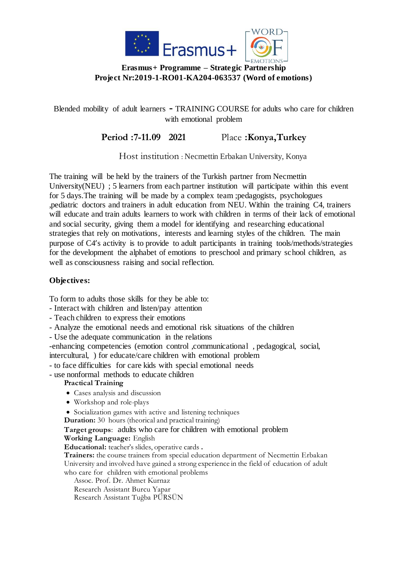

## **Erasmus+ Programme – Strategic Partnership Project Nr:2019-1-RO01-KA204-063537 (Word of emotions)**

Blended mobility of adult learners **-** TRAINING COURSE for adults who care for children with emotional problem

**Period :7-11.09 2021** Place **:Konya,Turkey**

Host institution : Necmettin Erbakan University, Konya

The training will be held by the trainers of the Turkish partner from Necmettin University(NEU) : 5 learners from each partner institution will participate within this event for 5 days.The training will be made by a complex team ;pedagogists, psychologues ,pediatric doctors and trainers in adult education from NEU. Within the training C4, trainers will educate and train adults learners to work with children in terms of their lack of emotional and social security, giving them a model for identifying and researching educational strategies that rely on motivations, interests and learning styles of the children. The main purpose of C4's activity is to provide to adult participants in training tools/methods/strategies for the development the alphabet of emotions to preschool and primary school children, as well as consciousness raising and social reflection.

## **Objectives:**

To form to adults those skills for they be able to:

- Interact with children and listen/pay attention
- Teach children to express their emotions
- Analyze the emotional needs and emotional risk situations of the children
- Use the adequate communication in the relations

-enhancing competencies (emotion control ,communicational , pedagogical, social, intercultural, ) for educate/care children with emotional problem

- to face difficulties for care kids with special emotional needs
- use nonformal methods to educate children

## **Practical Training**

- Cases analysis and discussion
- Workshop and role-plays
- Socialization games with active and listening techniques

**Duration:** 30 hours (theorical and practical training)

**Target groups**: adults who care for children with emotional problem

**Working Language:** English

**Educational:** teacher's slides, operative cards **.**

**Trainers:** the course trainers from special education department of Necmettin Erbakan University and involved have gained a strong experience in the field of education of adult who care for children with emotional problems

Assoc. Prof. Dr. Ahmet Kurnaz Research Assistant Burcu Yapar Research Assistant Tuğba PÜRSÜN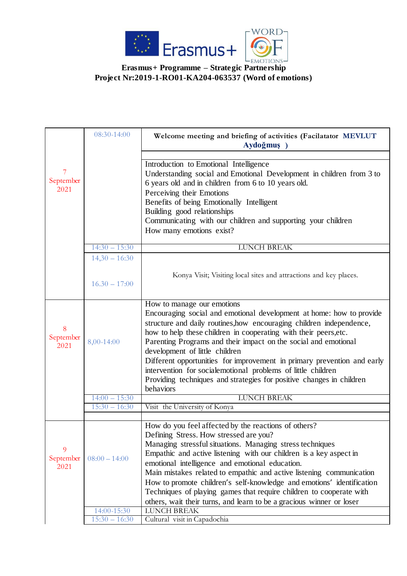

**Erasmus+ Programme – Strategic Partnership Project Nr:2019-1-RO01-KA204-063537 (Word of emotions)**

|                        | 08:30-14:00     | Welcome meeting and briefing of activities (Facilatator MEVLUT<br>Aydoğmuş)                                                                                                                                                                                                                                                                                                                                                                                                                                                                                                          |
|------------------------|-----------------|--------------------------------------------------------------------------------------------------------------------------------------------------------------------------------------------------------------------------------------------------------------------------------------------------------------------------------------------------------------------------------------------------------------------------------------------------------------------------------------------------------------------------------------------------------------------------------------|
| 7<br>September<br>2021 |                 | Introduction to Emotional Intelligence<br>Understanding social and Emotional Development in children from 3 to<br>6 years old and in children from 6 to 10 years old.<br>Perceiving their Emotions<br>Benefits of being Emotionally Intelligent<br>Building good relationships<br>Communicating with our children and supporting your children<br>How many emotions exist?                                                                                                                                                                                                           |
|                        | $14:30 - 15:30$ | <b>LUNCH BREAK</b>                                                                                                                                                                                                                                                                                                                                                                                                                                                                                                                                                                   |
|                        | $14,30 - 16:30$ |                                                                                                                                                                                                                                                                                                                                                                                                                                                                                                                                                                                      |
|                        | $16.30 - 17:00$ | Konya Visit; Visiting local sites and attractions and key places.                                                                                                                                                                                                                                                                                                                                                                                                                                                                                                                    |
| 8<br>September<br>2021 | 8,00-14:00      | How to manage our emotions<br>Encouraging social and emotional development at home: how to provide<br>structure and daily routines, how encouraging children independence,<br>how to help these children in cooperating with their peers, etc.<br>Parenting Programs and their impact on the social and emotional<br>development of little children<br>Different opportunities for improvement in primary prevention and early<br>intervention for socialemotional problems of little children<br>Providing techniques and strategies for positive changes in children<br>behaviors  |
|                        | $14:00 - 15:30$ | <b>LUNCH BREAK</b>                                                                                                                                                                                                                                                                                                                                                                                                                                                                                                                                                                   |
|                        | $15:30 - 16:30$ | Visit the University of Konya                                                                                                                                                                                                                                                                                                                                                                                                                                                                                                                                                        |
|                        |                 |                                                                                                                                                                                                                                                                                                                                                                                                                                                                                                                                                                                      |
| 9<br>September<br>2021 | $08:00 - 14:00$ | How do you feel affected by the reactions of others?<br>Defining Stress. How stressed are you?<br>Managing stressful situations. Managing stress techniques<br>Empathic and active listening with our children is a key aspect in<br>emotional intelligence and emotional education.<br>Main mistakes related to empathic and active listening communication<br>How to promote children's self-knowledge and emotions' identification<br>Techniques of playing games that require children to cooperate with<br>others, wait their turns, and learn to be a gracious winner or loser |
|                        | 14:00-15:30     | <b>LUNCH BREAK</b>                                                                                                                                                                                                                                                                                                                                                                                                                                                                                                                                                                   |
|                        | $15:30 - 16:30$ | Cultural visit in Capadochia                                                                                                                                                                                                                                                                                                                                                                                                                                                                                                                                                         |